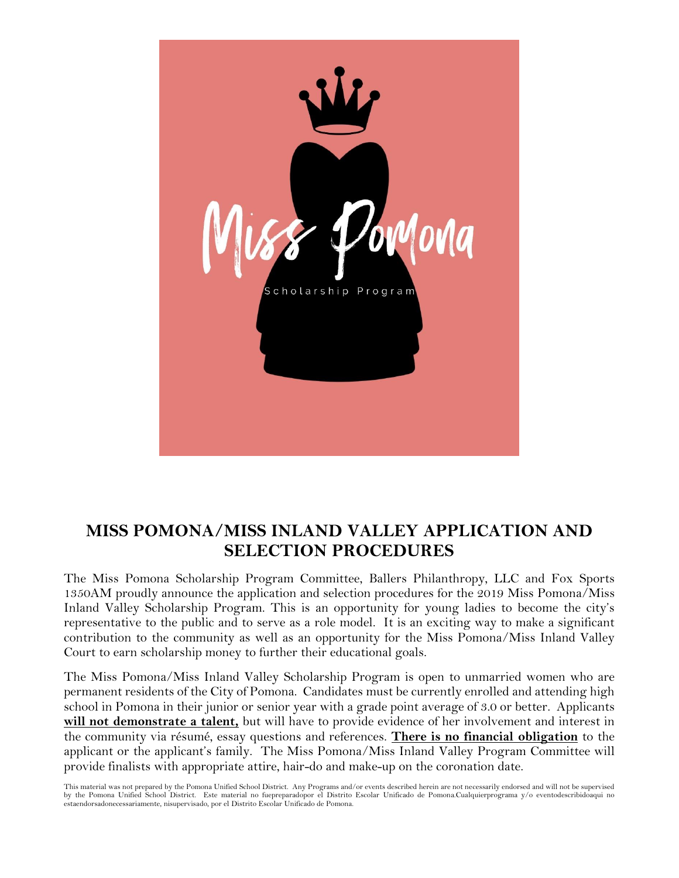

# **MISS POMONA/MISS INLAND VALLEY APPLICATION AND SELECTION PROCEDURES**

The Miss Pomona Scholarship Program Committee, Ballers Philanthropy, LLC and Fox Sports 1350AM proudly announce the application and selection procedures for the 2019 Miss Pomona/Miss Inland Valley Scholarship Program. This is an opportunity for young ladies to become the city's representative to the public and to serve as a role model. It is an exciting way to make a significant contribution to the community as well as an opportunity for the Miss Pomona/Miss Inland Valley Court to earn scholarship money to further their educational goals.

The Miss Pomona/Miss Inland Valley Scholarship Program is open to unmarried women who are permanent residents of the City of Pomona. Candidates must be currently enrolled and attending high school in Pomona in their junior or senior year with a grade point average of 3.0 or better. Applicants **will not demonstrate a talent,** but will have to provide evidence of her involvement and interest in the community via résumé, essay questions and references. **There is no financial obligation** to the applicant or the applicant's family. The Miss Pomona/Miss Inland Valley Program Committee will provide finalists with appropriate attire, hair-do and make-up on the coronation date.

This material was not prepared by the Pomona Unified School District. Any Programs and/or events described herein are not necessarily endorsed and will not be supervised by the Pomona Unified School District. Este material no fuepreparadopor el Distrito Escolar Unificado de Pomona.Cualquierprograma y/o eventodescribidoaqui no estaendorsadonecessariamente, nisupervisado, por el Distrito Escolar Unificado de Pomona.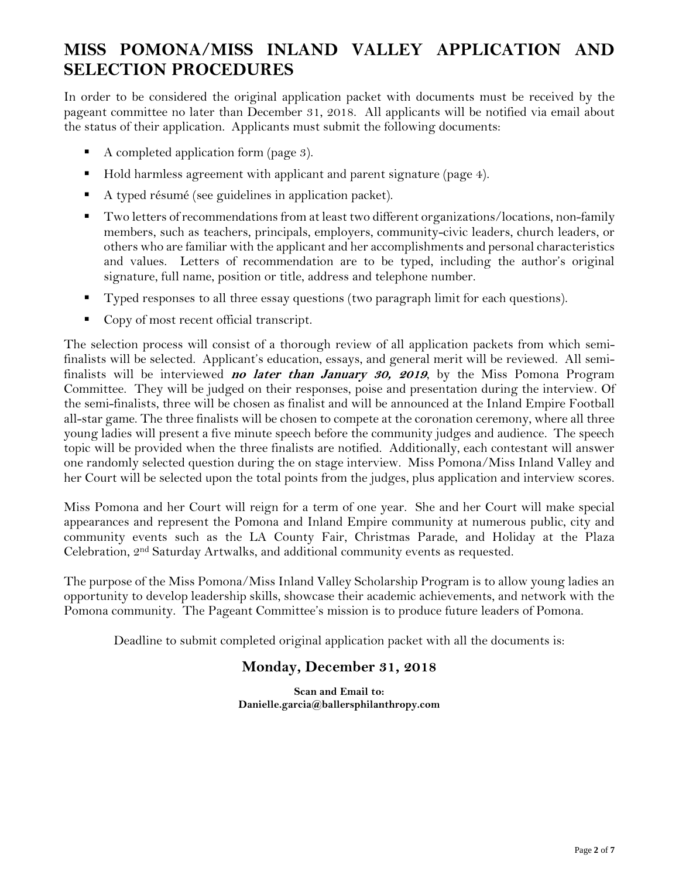# **MISS POMONA/MISS INLAND VALLEY APPLICATION AND SELECTION PROCEDURES**

In order to be considered the original application packet with documents must be received by the pageant committee no later than December 31, 2018. All applicants will be notified via email about the status of their application. Applicants must submit the following documents:

- A completed application form (page 3).
- Hold harmless agreement with applicant and parent signature (page 4).
- A typed résumé (see guidelines in application packet).
- Two letters of recommendations from at least two different organizations/locations, non-family members, such as teachers, principals, employers, community-civic leaders, church leaders, or others who are familiar with the applicant and her accomplishments and personal characteristics and values. Letters of recommendation are to be typed, including the author's original signature, full name, position or title, address and telephone number.
- **Typed responses to all three essay questions (two paragraph limit for each questions).**
- Copy of most recent official transcript.

The selection process will consist of a thorough review of all application packets from which semifinalists will be selected. Applicant's education, essays, and general merit will be reviewed. All semifinalists will be interviewed **no later than January 30, 2019**, by the Miss Pomona Program Committee. They will be judged on their responses, poise and presentation during the interview. Of the semi-finalists, three will be chosen as finalist and will be announced at the Inland Empire Football all-star game. The three finalists will be chosen to compete at the coronation ceremony, where all three young ladies will present a five minute speech before the community judges and audience. The speech topic will be provided when the three finalists are notified. Additionally, each contestant will answer one randomly selected question during the on stage interview. Miss Pomona/Miss Inland Valley and her Court will be selected upon the total points from the judges, plus application and interview scores.

Miss Pomona and her Court will reign for a term of one year. She and her Court will make special appearances and represent the Pomona and Inland Empire community at numerous public, city and community events such as the LA County Fair, Christmas Parade, and Holiday at the Plaza Celebration, 2nd Saturday Artwalks, and additional community events as requested.

The purpose of the Miss Pomona/Miss Inland Valley Scholarship Program is to allow young ladies an opportunity to develop leadership skills, showcase their academic achievements, and network with the Pomona community. The Pageant Committee's mission is to produce future leaders of Pomona.

Deadline to submit completed original application packet with all the documents is:

# **Monday, December 31, 2018**

**Scan and Email to: Danielle.garcia@ballersphilanthropy.com**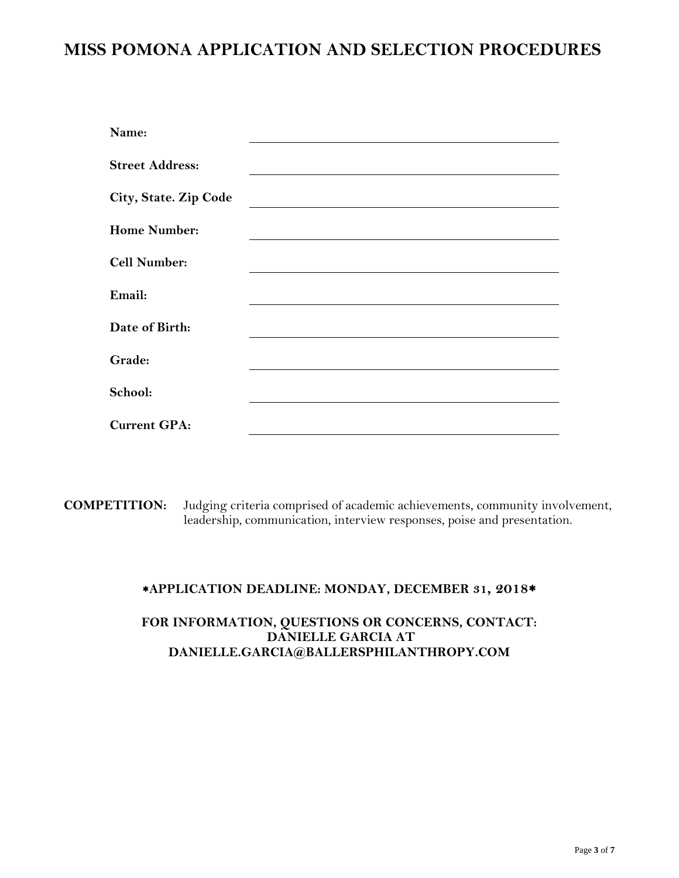# **MISS POMONA APPLICATION AND SELECTION PROCEDURES**

| Name:                  |  |  |
|------------------------|--|--|
| <b>Street Address:</b> |  |  |
| City, State. Zip Code  |  |  |
| <b>Home Number:</b>    |  |  |
| <b>Cell Number:</b>    |  |  |
| Email:                 |  |  |
| Date of Birth:         |  |  |
| Grade:                 |  |  |
| School:                |  |  |
| <b>Current GPA:</b>    |  |  |

**COMPETITION:** Judging criteria comprised of academic achievements, community involvement, leadership, communication, interview responses, poise and presentation.

## **APPLICATION DEADLINE: MONDAY, DECEMBER 31, 2018**

## **FOR INFORMATION, QUESTIONS OR CONCERNS, CONTACT: DANIELLE GARCIA AT DANIELLE.GARCIA@BALLERSPHILANTHROPY.COM**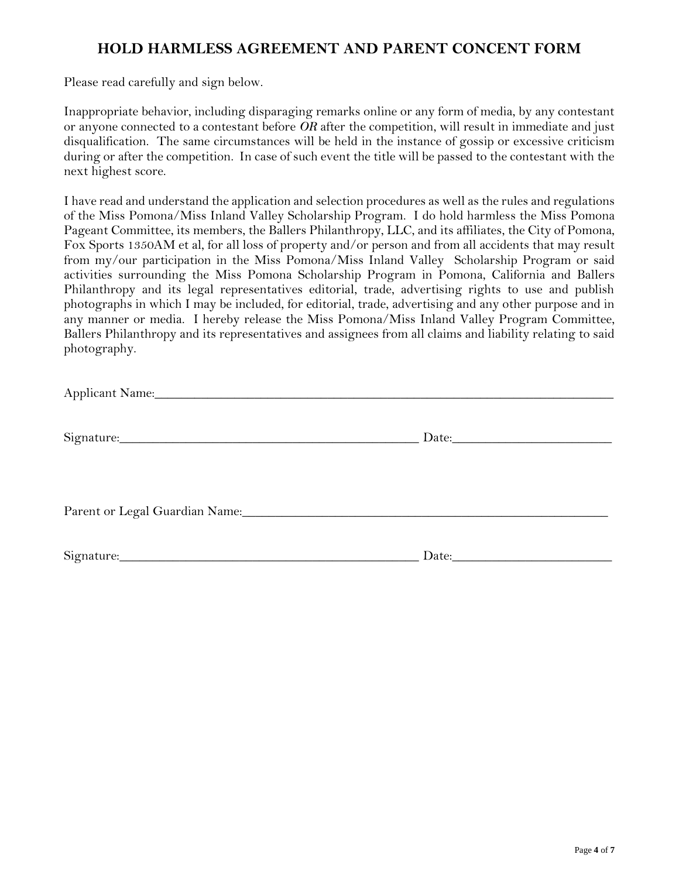# **HOLD HARMLESS AGREEMENT AND PARENT CONCENT FORM**

Please read carefully and sign below.

Inappropriate behavior, including disparaging remarks online or any form of media, by any contestant or anyone connected to a contestant before *OR* after the competition, will result in immediate and just disqualification. The same circumstances will be held in the instance of gossip or excessive criticism during or after the competition. In case of such event the title will be passed to the contestant with the next highest score.

I have read and understand the application and selection procedures as well as the rules and regulations of the Miss Pomona/Miss Inland Valley Scholarship Program. I do hold harmless the Miss Pomona Pageant Committee, its members, the Ballers Philanthropy, LLC, and its affiliates, the City of Pomona, Fox Sports 1350AM et al, for all loss of property and/or person and from all accidents that may result from my/our participation in the Miss Pomona/Miss Inland Valley Scholarship Program or said activities surrounding the Miss Pomona Scholarship Program in Pomona, California and Ballers Philanthropy and its legal representatives editorial, trade, advertising rights to use and publish photographs in which I may be included, for editorial, trade, advertising and any other purpose and in any manner or media. I hereby release the Miss Pomona/Miss Inland Valley Program Committee, Ballers Philanthropy and its representatives and assignees from all claims and liability relating to said photography.

| Signature: Signature: | Date: |
|-----------------------|-------|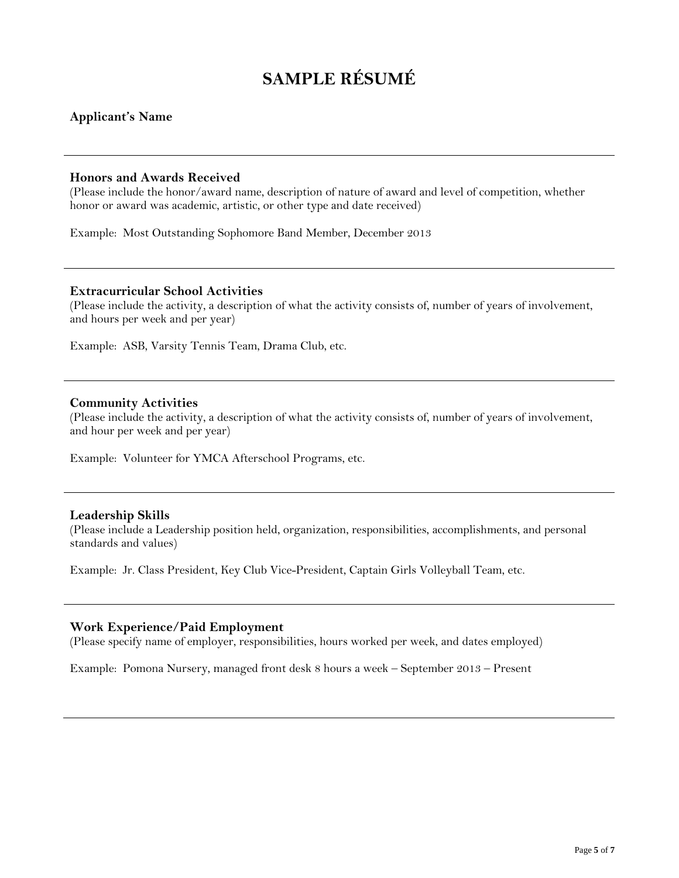# **SAMPLE RÉSUMÉ**

#### **Applicant's Name**

#### **Honors and Awards Received**

(Please include the honor/award name, description of nature of award and level of competition, whether honor or award was academic, artistic, or other type and date received)

Example: Most Outstanding Sophomore Band Member, December 2013

#### **Extracurricular School Activities**

(Please include the activity, a description of what the activity consists of, number of years of involvement, and hours per week and per year)

Example: ASB, Varsity Tennis Team, Drama Club, etc.

#### **Community Activities**

(Please include the activity, a description of what the activity consists of, number of years of involvement, and hour per week and per year)

Example: Volunteer for YMCA Afterschool Programs, etc.

#### **Leadership Skills**

(Please include a Leadership position held, organization, responsibilities, accomplishments, and personal standards and values)

Example: Jr. Class President, Key Club Vice-President, Captain Girls Volleyball Team, etc.

#### **Work Experience/Paid Employment**

(Please specify name of employer, responsibilities, hours worked per week, and dates employed)

Example: Pomona Nursery, managed front desk 8 hours a week – September 2013 – Present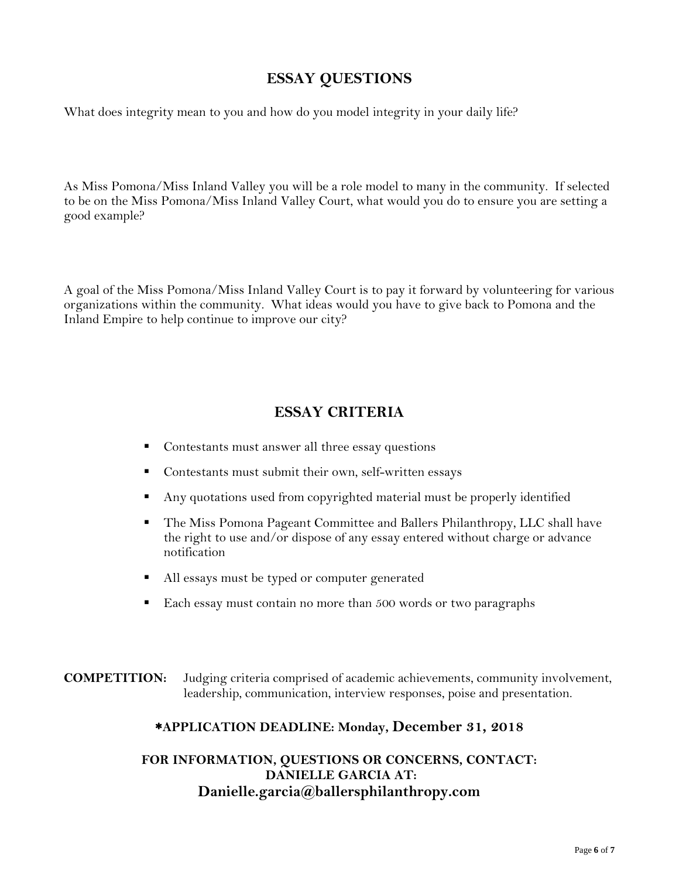# **ESSAY QUESTIONS**

What does integrity mean to you and how do you model integrity in your daily life?

As Miss Pomona/Miss Inland Valley you will be a role model to many in the community. If selected to be on the Miss Pomona/Miss Inland Valley Court, what would you do to ensure you are setting a good example?

A goal of the Miss Pomona/Miss Inland Valley Court is to pay it forward by volunteering for various organizations within the community. What ideas would you have to give back to Pomona and the Inland Empire to help continue to improve our city?

# **ESSAY CRITERIA**

- Contestants must answer all three essay questions
- Contestants must submit their own, self-written essays
- Any quotations used from copyrighted material must be properly identified
- The Miss Pomona Pageant Committee and Ballers Philanthropy, LLC shall have the right to use and/or dispose of any essay entered without charge or advance notification
- All essays must be typed or computer generated
- Each essay must contain no more than 500 words or two paragraphs

**COMPETITION:** Judging criteria comprised of academic achievements, community involvement, leadership, communication, interview responses, poise and presentation.

## **APPLICATION DEADLINE: Monday, December 31, 2018**

## **FOR INFORMATION, QUESTIONS OR CONCERNS, CONTACT: DANIELLE GARCIA AT: Danielle.garcia@ballersphilanthropy.com**